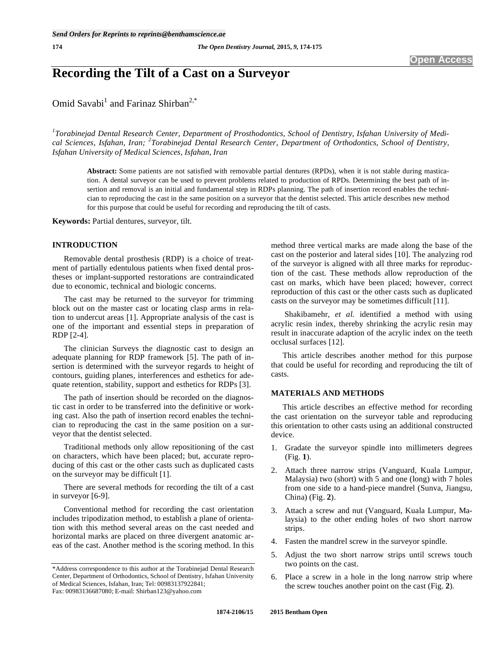# **Recording the Tilt of a Cast on a Surveyor**

Omid Savabi<sup>1</sup> and Farinaz Shirban<sup>2,\*</sup>

*1 Torabinejad Dental Research Center, Department of Prosthodontics, School of Dentistry, Isfahan University of Medical Sciences, Isfahan, Iran; <sup>2</sup> Torabinejad Dental Research Center, Department of Orthodontics, School of Dentistry, Isfahan University of Medical Sciences, Isfahan, Iran* 

**Abstract:** Some patients are not satisfied with removable partial dentures (RPDs), when it is not stable during mastication. A dental surveyor can be used to prevent problems related to production of RPDs. Determining the best path of insertion and removal is an initial and fundamental step in RDPs planning. The path of insertion record enables the technician to reproducing the cast in the same position on a surveyor that the dentist selected. This article describes new method for this purpose that could be useful for recording and reproducing the tilt of casts.

**Keywords:** Partial dentures, surveyor, tilt.

#### **INTRODUCTION**

Removable dental prosthesis (RDP) is a choice of treatment of partially edentulous patients when fixed dental prostheses or implant-supported restorations are contraindicated due to economic, technical and biologic concerns.

The cast may be returned to the surveyor for trimming block out on the master cast or locating clasp arms in relation to undercut areas [1]. Appropriate analysis of the cast is one of the important and essential steps in preparation of RDP [2-4].

The clinician Surveys the diagnostic cast to design an adequate planning for RDP framework [5]. The path of insertion is determined with the surveyor regards to height of contours, guiding planes, interferences and esthetics for adequate retention, stability, support and esthetics for RDPs [3].

The path of insertion should be recorded on the diagnostic cast in order to be transferred into the definitive or working cast. Also the path of insertion record enables the technician to reproducing the cast in the same position on a surveyor that the dentist selected.

Traditional methods only allow repositioning of the cast on characters, which have been placed; but, accurate reproducing of this cast or the other casts such as duplicated casts on the surveyor may be difficult [1].

There are several methods for recording the tilt of a cast in surveyor [6-9].

Conventional method for recording the cast orientation includes tripodization method, to establish a plane of orientation with this method several areas on the cast needed and horizontal marks are placed on three divergent anatomic areas of the cast. Another method is the scoring method. In this method three vertical marks are made along the base of the cast on the posterior and lateral sides [10]. The analyzing rod of the surveyor is aligned with all three marks for reproduction of the cast. These methods allow reproduction of the cast on marks, which have been placed; however, correct reproduction of this cast or the other casts such as duplicated casts on the surveyor may be sometimes difficult [11].

 Shakibamehr, *et al.* identified a method with using acrylic resin index, thereby shrinking the acrylic resin may result in inaccurate adaption of the acrylic index on the teeth occlusal surfaces [12].

This article describes another method for this purpose that could be useful for recording and reproducing the tilt of casts.

## **MATERIALS AND METHODS**

This article describes an effective method for recording the cast orientation on the surveyor table and reproducing this orientation to other casts using an additional constructed device.

- 1. Gradate the surveyor spindle into millimeters degrees (Fig. **1**).
- 2. Attach three narrow strips (Vanguard, Kuala Lumpur, Malaysia) two (short) with 5 and one (long) with 7 holes from one side to a hand-piece mandrel (Sunva, Jiangsu, China) (Fig. **2**).
- 3. Attach a screw and nut (Vanguard, Kuala Lumpur, Malaysia) to the other ending holes of two short narrow strips.
- 4. Fasten the mandrel screw in the surveyor spindle.
- 5. Adjust the two short narrow strips until screws touch two points on the cast.
- 6. Place a screw in a hole in the long narrow strip where the screw touches another point on the cast (Fig. **2**).

<sup>\*</sup>Address correspondence to this author at the Torabinejad Dental Research Center, Department of Orthodontics, School of Dentistry, Isfahan University of Medical Sciences, Isfahan, Iran; Tel: 00983137922841; Fax: 00983136687080; E-mail: Shirban123@yahoo.com